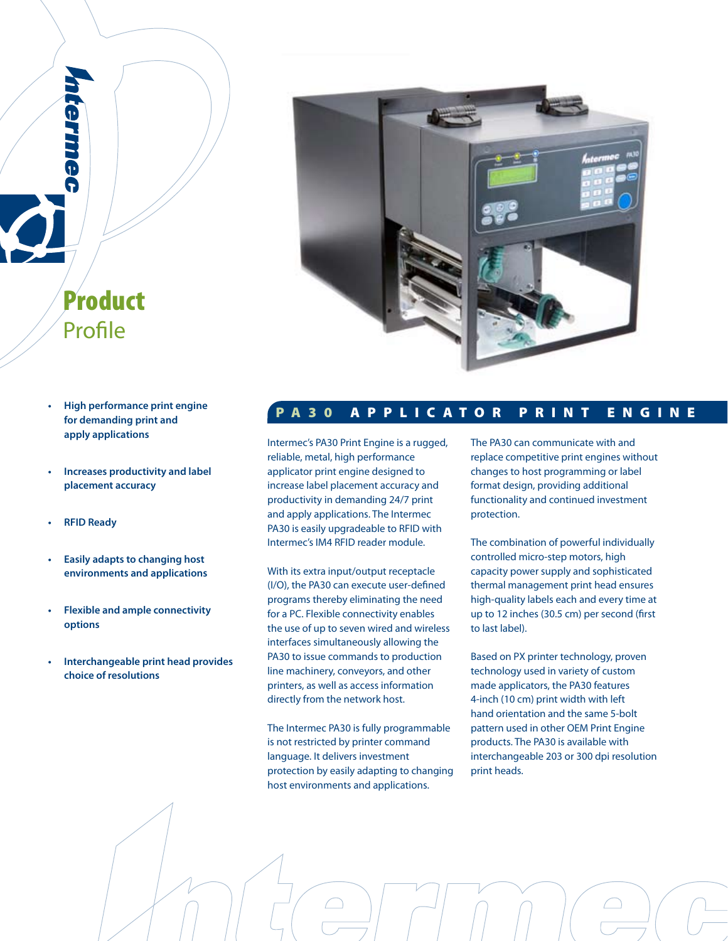

 **for demanding print and apply applications**

Product

Profile

HI G

- **• Increases productivity and label placement accuracy**
- **RFID** Ready
- **Easily** adapts to changing host  **environments and applications**
- **Flexible** and ample connectivity  **options**
- **• Interchangeable print head provides choice of resolutions**

# **P A 3 0 A P P L I C A T O R P R I N T E N G I N E**

Intermec's PA30 Print Engine is a rugged, reliable, metal, high performance applicator print engine designed to increase label placement accuracy and productivity in demanding 24/7 print and apply applications. The Intermec PA30 is easily upgradeable to RFID with Intermec's IM4 RFID reader module.

With its extra input/output receptacle (I/O), the PA30 can execute user-defined programs thereby eliminating the need for a PC. Flexible connectivity enables the use of up to seven wired and wireless interfaces simultaneously allowing the PA30 to issue commands to production line machinery, conveyors, and other printers, as well as access information directly from the network host.

The Intermec PA30 is fully programmable is not restricted by printer command language. It delivers investment protection by easily adapting to changing host environments and applications.

The PA30 can communicate with and replace competitive print engines without changes to host programming or label format design, providing additional functionality and continued investment protection.

The combination of powerful individually controlled micro-step motors, high capacity power supply and sophisticated thermal management print head ensures high-quality labels each and every time at up to 12 inches (30.5 cm) per second (first to last label).

Based on PX printer technology, proven technology used in variety of custom made applicators, the PA30 features 4-inch (10 cm) print width with left hand orientation and the same 5-bolt pattern used in other OEM Print Engine products. The PA30 is available with interchangeable 203 or 300 dpi resolution print heads.